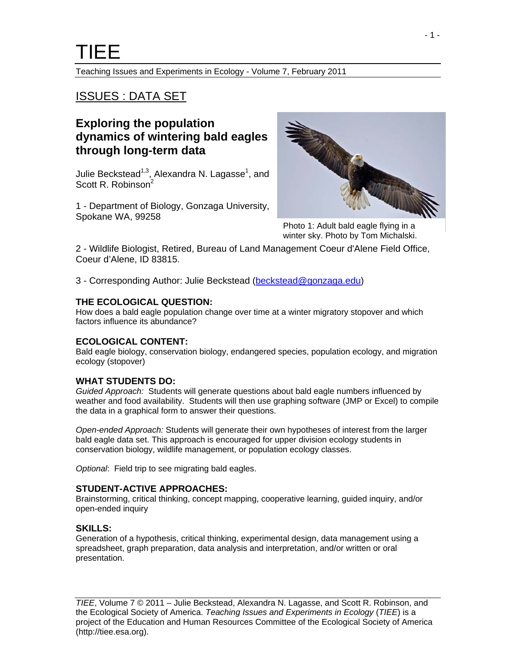Teaching Issues and Experiments in Ecology - Volume 7, February 2011

# ISSUES : DATA SET

# **Exploring the population dynamics of wintering bald eagles through long-term data**

Julie Beckstead<sup>1,3</sup>, Alexandra N. Lagasse<sup>1</sup>, and Scott R. Robinson<sup>2</sup>

1 - Department of Biology, Gonzaga University, Spokane WA, 99258



Photo 1: Adult bald eagle flying in a winter sky. Photo by Tom Michalski.

2 - Wildlife Biologist, Retired, Bureau of Land Management Coeur d'Alene Field Office, Coeur d'Alene, ID 83815.

3 - Corresponding Author: Julie Beckstead [\(beckstead@gonzaga.edu](mailto:beckstead@gonzaga.edu))

#### **THE ECOLOGICAL QUESTION:**

How does a bald eagle population change over time at a winter migratory stopover and which factors influence its abundance?

#### **ECOLOGICAL CONTENT:**

Bald eagle biology, conservation biology, endangered species, population ecology, and migration ecology (stopover)

#### **WHAT STUDENTS DO:**

*Guided Approach:* Students will generate questions about bald eagle numbers influenced by weather and food availability. Students will then use graphing software (JMP or Excel) to compile the data in a graphical form to answer their questions.

*Open-ended Approach:* Students will generate their own hypotheses of interest from the larger bald eagle data set. This approach is encouraged for upper division ecology students in conservation biology, wildlife management, or population ecology classes.

*Optional*: Field trip to see migrating bald eagles.

#### **STUDENT-ACTIVE APPROACHES:**

Brainstorming, critical thinking, concept mapping, cooperative learning, guided inquiry, and/or open-ended inquiry

#### **SKILLS:**

Generation of a hypothesis, critical thinking, experimental design, data management using a spreadsheet, graph preparation, data analysis and interpretation, and/or written or oral presentation.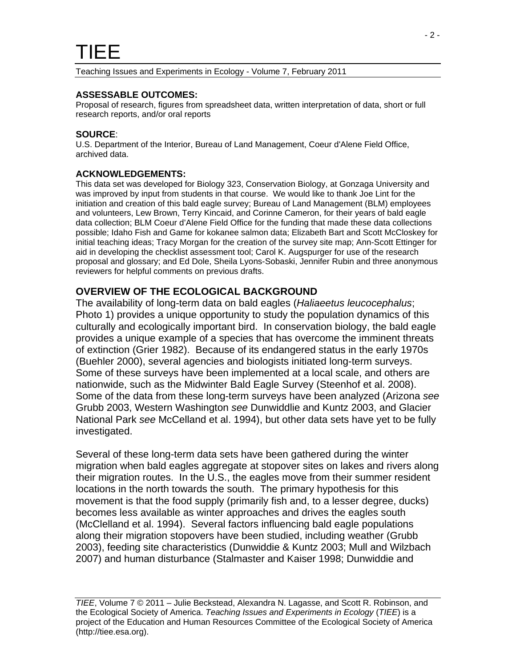#### **ASSESSABLE OUTCOMES:**

Proposal of research, figures from spreadsheet data, written interpretation of data, short or full research reports, and/or oral reports

#### **SOURCE**:

U.S. Department of the Interior, Bureau of Land Management, Coeur d'Alene Field Office, archived data.

#### **ACKNOWLEDGEMENTS:**

This data set was developed for Biology 323, Conservation Biology, at Gonzaga University and was improved by input from students in that course. We would like to thank Joe Lint for the initiation and creation of this bald eagle survey; Bureau of Land Management (BLM) employees and volunteers, Lew Brown, Terry Kincaid, and Corinne Cameron, for their years of bald eagle data collection; BLM Coeur d'Alene Field Office for the funding that made these data collections possible; Idaho Fish and Game for kokanee salmon data; Elizabeth Bart and Scott McCloskey for initial teaching ideas; Tracy Morgan for the creation of the survey site map; Ann-Scott Ettinger for aid in developing the checklist assessment tool; Carol K. Augspurger for use of the research proposal and glossary; and Ed Dole, Sheila Lyons-Sobaski, Jennifer Rubin and three anonymous reviewers for helpful comments on previous drafts.

### **OVERVIEW OF THE ECOLOGICAL BACKGROUND**

The availability of long-term data on bald eagles (*Haliaeetus leucocephalus*; Photo 1) provides a unique opportunity to study the population dynamics of this culturally and ecologically important bird. In conservation biology, the bald eagle provides a unique example of a species that has overcome the imminent threats of extinction (Grier 1982). Because of its endangered status in the early 1970s (Buehler 2000), several agencies and biologists initiated long-term surveys. Some of these surveys have been implemented at a local scale, and others are nationwide, such as the Midwinter Bald Eagle Survey (Steenhof et al. 2008). Some of the data from these long-term surveys have been analyzed (Arizona *see* Grubb 2003, Western Washington *see* Dunwiddlie and Kuntz 2003, and Glacier National Park *see* McCelland et al. 1994), but other data sets have yet to be fully investigated.

Several of these long-term data sets have been gathered during the winter migration when bald eagles aggregate at stopover sites on lakes and rivers along their migration routes. In the U.S., the eagles move from their summer resident locations in the north towards the south. The primary hypothesis for this movement is that the food supply (primarily fish and, to a lesser degree, ducks) becomes less available as winter approaches and drives the eagles south (McClelland et al. 1994). Several factors influencing bald eagle populations along their migration stopovers have been studied, including weather (Grubb 2003), feeding site characteristics (Dunwiddie & Kuntz 2003; Mull and Wilzbach 2007) and human disturbance (Stalmaster and Kaiser 1998; Dunwiddie and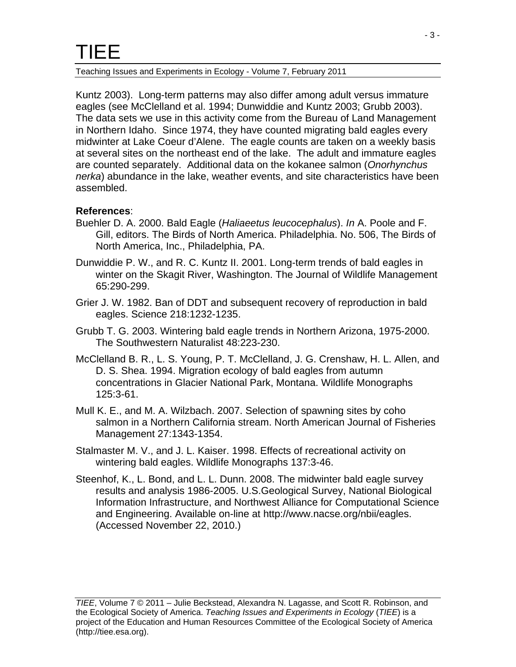#### Teaching Issues and Experiments in Ecology - Volume 7, February 2011

Kuntz 2003). Long-term patterns may also differ among adult versus immature eagles (see McClelland et al. 1994; Dunwiddie and Kuntz 2003; Grubb 2003). The data sets we use in this activity come from the Bureau of Land Management in Northern Idaho. Since 1974, they have counted migrating bald eagles every midwinter at Lake Coeur d'Alene. The eagle counts are taken on a weekly basis at several sites on the northeast end of the lake. The adult and immature eagles are counted separately. Additional data on the kokanee salmon (*Onorhynchus nerka*) abundance in the lake, weather events, and site characteristics have been assembled.

### **References**:

- Buehler D. A. 2000. Bald Eagle (*Haliaeetus leucocephalus*). *In* A. Poole and F. Gill, editors. The Birds of North America. Philadelphia. No. 506, The Birds of North America, Inc., Philadelphia, PA.
- Dunwiddie P. W., and R. C. Kuntz II. 2001. Long-term trends of bald eagles in winter on the Skagit River, Washington. The Journal of Wildlife Management 65:290-299.
- Grier J. W. 1982. Ban of DDT and subsequent recovery of reproduction in bald eagles. Science 218:1232-1235.
- Grubb T. G. 2003. Wintering bald eagle trends in Northern Arizona, 1975-2000. The Southwestern Naturalist 48:223-230.
- McClelland B. R., L. S. Young, P. T. McClelland, J. G. Crenshaw, H. L. Allen, and D. S. Shea. 1994. Migration ecology of bald eagles from autumn concentrations in Glacier National Park, Montana. Wildlife Monographs 125:3-61.
- Mull K. E., and M. A. Wilzbach. 2007. Selection of spawning sites by coho salmon in a Northern California stream. North American Journal of Fisheries Management 27:1343-1354.
- Stalmaster M. V., and J. L. Kaiser. 1998. Effects of recreational activity on wintering bald eagles. Wildlife Monographs 137:3-46.
- Steenhof, K., L. Bond, and L. L. Dunn. 2008. The midwinter bald eagle survey results and analysis 1986-2005. U.S.Geological Survey, National Biological Information Infrastructure, and Northwest Alliance for Computational Science and Engineering. Available on-line at http://www.nacse.org/nbii/eagles. (Accessed November 22, 2010.)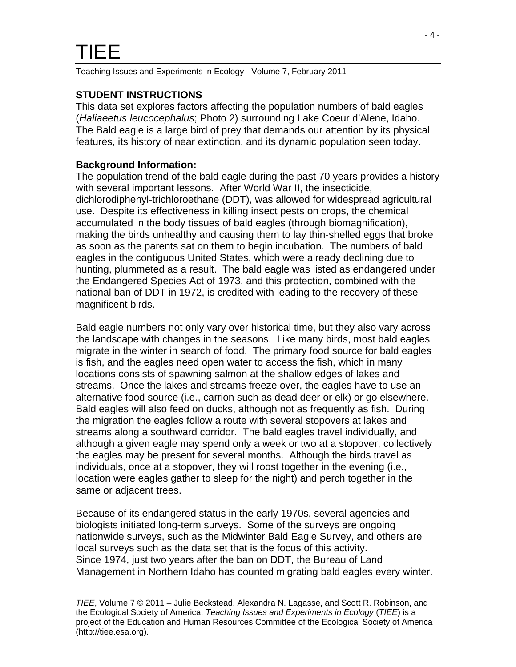# **STUDENT INSTRUCTIONS**

This data set explores factors affecting the population numbers of bald eagles (*Haliaeetus leucocephalus*; Photo 2) surrounding Lake Coeur d'Alene, Idaho. The Bald eagle is a large bird of prey that demands our attention by its physical features, its history of near extinction, and its dynamic population seen today.

# **Background Information:**

The population trend of the bald eagle during the past 70 years provides a history with several important lessons. After World War II, the insecticide, dichlorodiphenyl-trichloroethane (DDT), was allowed for widespread agricultural use. Despite its effectiveness in killing insect pests on crops, the chemical accumulated in the body tissues of bald eagles (through biomagnification), making the birds unhealthy and causing them to lay thin-shelled eggs that broke as soon as the parents sat on them to begin incubation. The numbers of bald eagles in the contiguous United States, which were already declining due to hunting, plummeted as a result. The bald eagle was listed as endangered under the Endangered Species Act of 1973, and this protection, combined with the national ban of DDT in 1972, is credited with leading to the recovery of these magnificent birds.

Bald eagle numbers not only vary over historical time, but they also vary across the landscape with changes in the seasons. Like many birds, most bald eagles migrate in the winter in search of food. The primary food source for bald eagles is fish, and the eagles need open water to access the fish, which in many locations consists of spawning salmon at the shallow edges of lakes and streams. Once the lakes and streams freeze over, the eagles have to use an alternative food source (i.e., carrion such as dead deer or elk) or go elsewhere. Bald eagles will also feed on ducks, although not as frequently as fish. During the migration the eagles follow a route with several stopovers at lakes and streams along a southward corridor. The bald eagles travel individually, and although a given eagle may spend only a week or two at a stopover, collectively the eagles may be present for several months. Although the birds travel as individuals, once at a stopover, they will roost together in the evening (i.e., location were eagles gather to sleep for the night) and perch together in the same or adjacent trees.

Because of its endangered status in the early 1970s, several agencies and biologists initiated long-term surveys. Some of the surveys are ongoing nationwide surveys, such as the Midwinter Bald Eagle Survey, and others are local surveys such as the data set that is the focus of this activity. Since 1974, just two years after the ban on DDT, the Bureau of Land Management in Northern Idaho has counted migrating bald eagles every winter.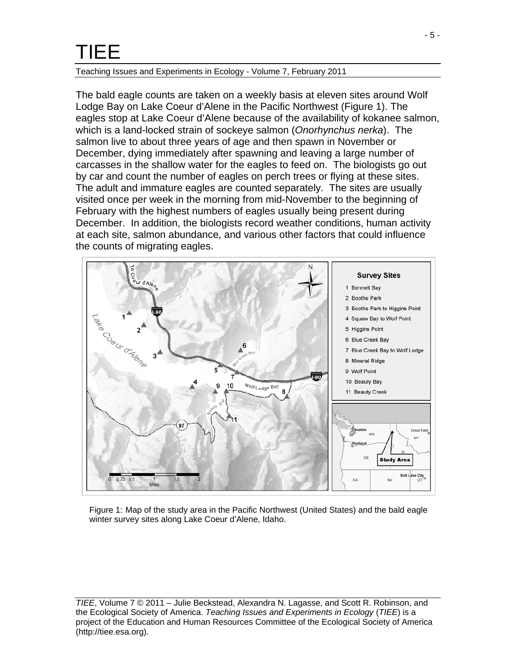#### Teaching Issues and Experiments in Ecology - Volume 7, February 2011

The bald eagle counts are taken on a weekly basis at eleven sites around Wolf Lodge Bay on Lake Coeur d'Alene in the Pacific Northwest (Figure 1). The eagles stop at Lake Coeur d'Alene because of the availability of kokanee salmon, which is a land-locked strain of sockeye salmon (*Onorhynchus nerka*). The salmon live to about three years of age and then spawn in November or December, dying immediately after spawning and leaving a large number of carcasses in the shallow water for the eagles to feed on. The biologists go out by car and count the number of eagles on perch trees or flying at these sites. The adult and immature eagles are counted separately. The sites are usually visited once per week in the morning from mid-November to the beginning of February with the highest numbers of eagles usually being present during December. In addition, the biologists record weather conditions, human activity at each site, salmon abundance, and various other factors that could influence the counts of migrating eagles.



Figure 1: Map of the study area in the Pacific Northwest (United States) and the bald eagle winter survey sites along Lake Coeur d'Alene, Idaho.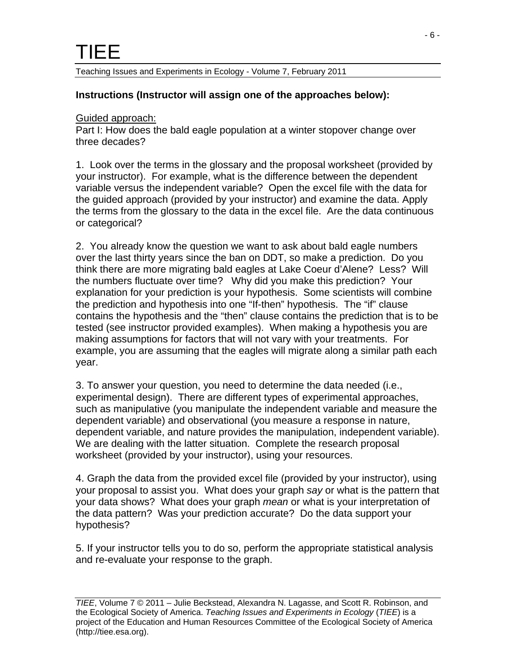### **Instructions (Instructor will assign one of the approaches below):**

#### Guided approach:

Part I: How does the bald eagle population at a winter stopover change over three decades?

1. Look over the terms in the glossary and the proposal worksheet (provided by your instructor). For example, what is the difference between the dependent variable versus the independent variable? Open the excel file with the data for the guided approach (provided by your instructor) and examine the data. Apply the terms from the glossary to the data in the excel file. Are the data continuous or categorical?

2. You already know the question we want to ask about bald eagle numbers over the last thirty years since the ban on DDT, so make a prediction. Do you think there are more migrating bald eagles at Lake Coeur d'Alene? Less? Will the numbers fluctuate over time? Why did you make this prediction? Your explanation for your prediction is your hypothesis. Some scientists will combine the prediction and hypothesis into one "If-then" hypothesis. The "if" clause contains the hypothesis and the "then" clause contains the prediction that is to be tested (see instructor provided examples). When making a hypothesis you are making assumptions for factors that will not vary with your treatments. For example, you are assuming that the eagles will migrate along a similar path each year.

3. To answer your question, you need to determine the data needed (i.e., experimental design). There are different types of experimental approaches, such as manipulative (you manipulate the independent variable and measure the dependent variable) and observational (you measure a response in nature, dependent variable, and nature provides the manipulation, independent variable). We are dealing with the latter situation. Complete the research proposal worksheet (provided by your instructor), using your resources.

4. Graph the data from the provided excel file (provided by your instructor), using your proposal to assist you. What does your graph *say* or what is the pattern that your data shows? What does your graph *mean* or what is your interpretation of the data pattern? Was your prediction accurate? Do the data support your hypothesis?

5. If your instructor tells you to do so, perform the appropriate statistical analysis and re-evaluate your response to the graph.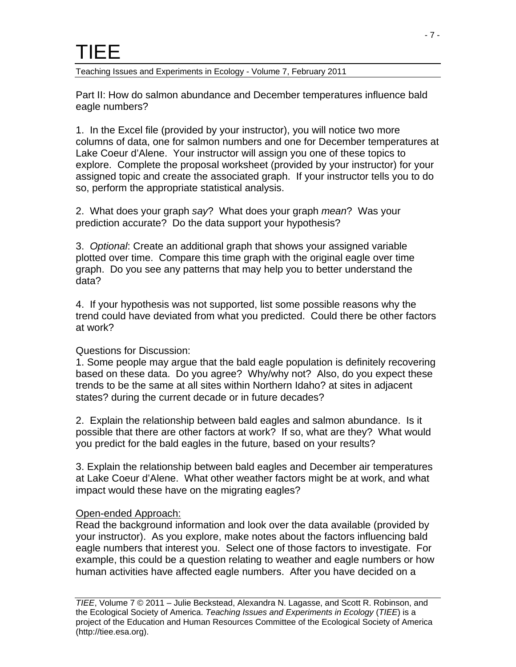Part II: How do salmon abundance and December temperatures influence bald eagle numbers?

1. In the Excel file (provided by your instructor), you will notice two more columns of data, one for salmon numbers and one for December temperatures at Lake Coeur d'Alene. Your instructor will assign you one of these topics to explore. Complete the proposal worksheet (provided by your instructor) for your assigned topic and create the associated graph. If your instructor tells you to do so, perform the appropriate statistical analysis.

2. What does your graph *say*? What does your graph *mean*? Was your prediction accurate? Do the data support your hypothesis?

3. *Optional*: Create an additional graph that shows your assigned variable plotted over time. Compare this time graph with the original eagle over time graph. Do you see any patterns that may help you to better understand the data?

4. If your hypothesis was not supported, list some possible reasons why the trend could have deviated from what you predicted. Could there be other factors at work?

# Questions for Discussion:

1. Some people may argue that the bald eagle population is definitely recovering based on these data. Do you agree? Why/why not? Also, do you expect these trends to be the same at all sites within Northern Idaho? at sites in adjacent states? during the current decade or in future decades?

2. Explain the relationship between bald eagles and salmon abundance. Is it possible that there are other factors at work? If so, what are they? What would you predict for the bald eagles in the future, based on your results?

3. Explain the relationship between bald eagles and December air temperatures at Lake Coeur d'Alene. What other weather factors might be at work, and what impact would these have on the migrating eagles?

# Open-ended Approach:

Read the background information and look over the data available (provided by your instructor). As you explore, make notes about the factors influencing bald eagle numbers that interest you. Select one of those factors to investigate. For example, this could be a question relating to weather and eagle numbers or how human activities have affected eagle numbers. After you have decided on a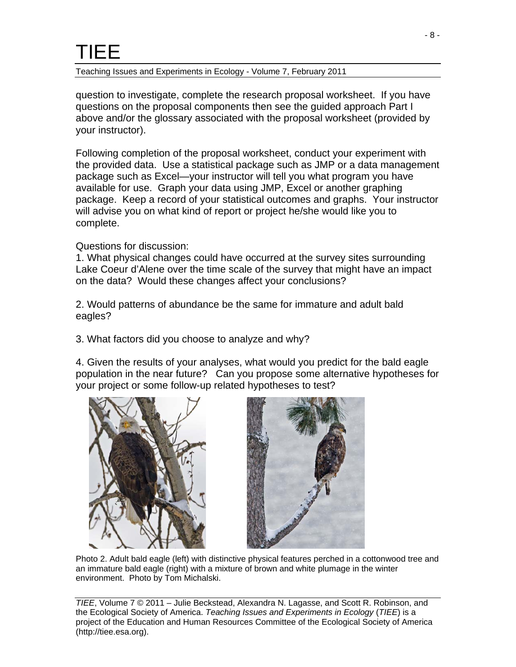Teaching Issues and Experiments in Ecology - Volume 7, February 2011

question to investigate, complete the research proposal worksheet. If you have questions on the proposal components then see the guided approach Part I above and/or the glossary associated with the proposal worksheet (provided by your instructor).

Following completion of the proposal worksheet, conduct your experiment with the provided data. Use a statistical package such as JMP or a data management package such as Excel—your instructor will tell you what program you have available for use. Graph your data using JMP, Excel or another graphing package. Keep a record of your statistical outcomes and graphs. Your instructor will advise you on what kind of report or project he/she would like you to complete.

### Questions for discussion:

1. What physical changes could have occurred at the survey sites surrounding Lake Coeur d'Alene over the time scale of the survey that might have an impact on the data? Would these changes affect your conclusions?

2. Would patterns of abundance be the same for immature and adult bald eagles?

3. What factors did you choose to analyze and why?

4. Given the results of your analyses, what would you predict for the bald eagle population in the near future? Can you propose some alternative hypotheses for your project or some follow-up related hypotheses to test?



Photo 2. Adult bald eagle (left) with distinctive physical features perched in a cottonwood tree and an immature bald eagle (right) with a mixture of brown and white plumage in the winter environment. Photo by Tom Michalski.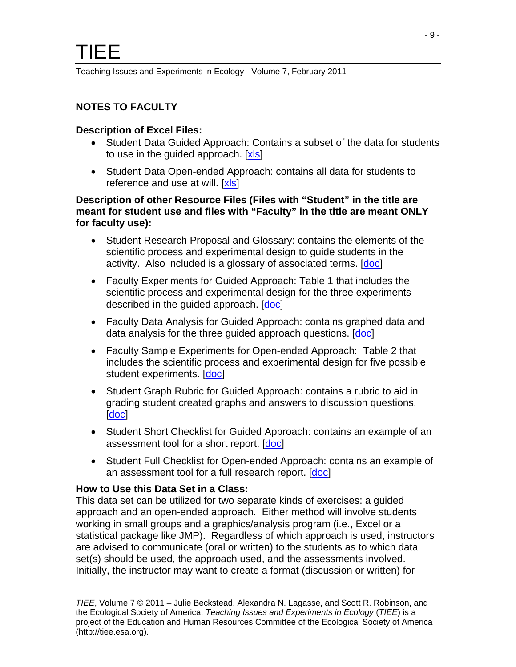# **NOTES TO FACULTY**

#### **Description of Excel Files:**

- Student Data Guided Approach: Contains a subset of the data for students to use in the guided approach. [\[xls\]](http://tiee.esa.org/vol/v7/issues/data_sets/beckstead/resources/student_data_guided.xls)
- Student Data Open-ended Approach: contains all data for students to reference and use at will. [\[xls\]](http://tiee.esa.org/vol/v7/issues/data_sets/beckstead/resources/student_data_open.xls)

#### **Description of other Resource Files (Files with "Student" in the title are meant for student use and files with "Faculty" in the title are meant ONLY for faculty use):**

- Student Research Proposal and Glossary: contains the elements of the scientific process and experimental design to guide students in the activity. Also included is a glossary of associated terms. [\[doc\]](http://tiee.esa.org/vol/v7/issues/data_sets/beckstead/resources/student_proposal.doc)
- Faculty Experiments for Guided Approach: Table 1 that includes the scientific process and experimental design for the three experiments described in the quided approach. [[doc\]](http://tiee.esa.org/vol/v7/issues/data_sets/beckstead/resources/faculty_guided.doc)
- Faculty Data Analysis for Guided Approach: contains graphed data and data analysis for the three guided approach questions. [[doc\]](http://tiee.esa.org/vol/v7/issues/data_sets/beckstead/resources/faculty_analysis_guided.doc)
- Faculty Sample Experiments for Open-ended Approach: Table 2 that includes the scientific process and experimental design for five possible student experiments. [\[doc](http://tiee.esa.org/vol/v7/issues/data_sets/beckstead/resources/faculty_open.doc)]
- Student Graph Rubric for Guided Approach: contains a rubric to aid in grading student created graphs and answers to discussion questions. [\[doc\]](http://tiee.esa.org/vol/v7/issues/data_sets/beckstead/resources/student_graph_rubric.doc)
- Student Short Checklist for Guided Approach: contains an example of an assessment tool for a short report. [[doc](http://tiee.esa.org/vol/v7/issues/data_sets/beckstead/resources/student_short_checklist.doc)]
- Student Full Checklist for Open-ended Approach: contains an example of an assessment tool for a full research report. [\[doc](http://tiee.esa.org/vol/v7/issues/data_sets/beckstead/resources/student_full_checklist.doc)]

# **How to Use this Data Set in a Class:**

This data set can be utilized for two separate kinds of exercises: a guided approach and an open-ended approach. Either method will involve students working in small groups and a graphics/analysis program (i.e., Excel or a statistical package like JMP). Regardless of which approach is used, instructors are advised to communicate (oral or written) to the students as to which data set(s) should be used, the approach used, and the assessments involved. Initially, the instructor may want to create a format (discussion or written) for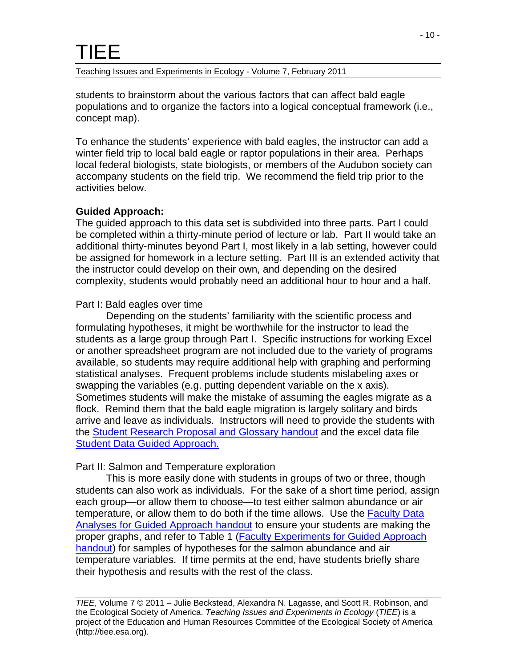Teaching Issues and Experiments in Ecology - Volume 7, February 2011

students to brainstorm about the various factors that can affect bald eagle populations and to organize the factors into a logical conceptual framework (i.e., concept map).

To enhance the students' experience with bald eagles, the instructor can add a winter field trip to local bald eagle or raptor populations in their area. Perhaps local federal biologists, state biologists, or members of the Audubon society can accompany students on the field trip. We recommend the field trip prior to the activities below.

### **Guided Approach:**

The guided approach to this data set is subdivided into three parts. Part I could be completed within a thirty-minute period of lecture or lab. Part II would take an additional thirty-minutes beyond Part I, most likely in a lab setting, however could be assigned for homework in a lecture setting. Part III is an extended activity that the instructor could develop on their own, and depending on the desired complexity, students would probably need an additional hour to hour and a half.

### Part I: Bald eagles over time

Depending on the students' familiarity with the scientific process and formulating hypotheses, it might be worthwhile for the instructor to lead the students as a large group through Part I. Specific instructions for working Excel or another spreadsheet program are not included due to the variety of programs available, so students may require additional help with graphing and performing statistical analyses. Frequent problems include students mislabeling axes or swapping the variables (e.g. putting dependent variable on the x axis). Sometimes students will make the mistake of assuming the eagles migrate as a flock. Remind them that the bald eagle migration is largely solitary and birds arrive and leave as individuals. Instructors will need to provide the students with the [Student Research Proposal and Glossary handout](http://tiee.esa.org/vol/v7/issues/data_sets/beckstead/resources/student_proposal.doc) and the excel data file [Student Data Guided Approach.](http://tiee.esa.org/vol/v7/issues/data_sets/beckstead/resources/student_data_guided.xls)

#### Part II: Salmon and Temperature exploration

 This is more easily done with students in groups of two or three, though students can also work as individuals. For the sake of a short time period, assign each group—or allow them to choose—to test either salmon abundance or air temperature, or allow them to do both if the time allows. Use the Faculty Data [Analyses for Guided Approach handout](http://tiee.esa.org/vol/v7/issues/data_sets/beckstead/resources/faculty_analysis_guided.doc) to ensure your students are making the proper graphs, and refer to Table 1 (**Faculty Experiments for Guided Approach** [handout](http://tiee.esa.org/vol/v7/issues/data_sets/beckstead/resources/faculty_guided.doc)) for samples of hypotheses for the salmon abundance and air temperature variables. If time permits at the end, have students briefly share their hypothesis and results with the rest of the class.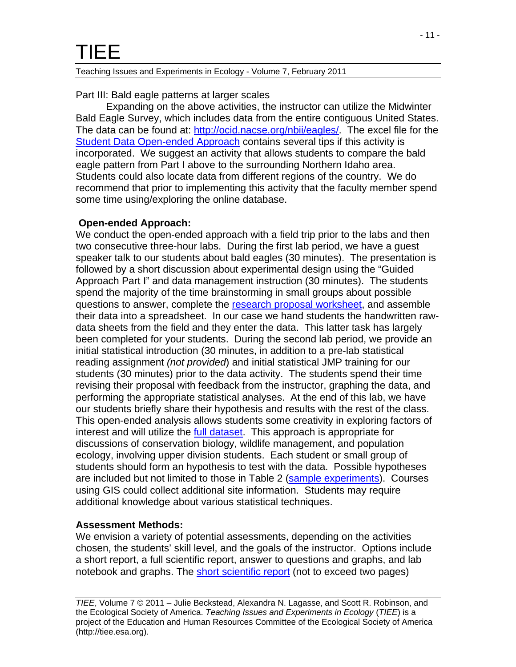Part III: Bald eagle patterns at larger scales

 Expanding on the above activities, the instructor can utilize the Midwinter Bald Eagle Survey, which includes data from the entire contiguous United States. The data can be found at:<http://ocid.nacse.org/nbii/eagles/>. The excel file for the **[Student Data Open-ended Approach](http://tiee.esa.org/vol/v7/issues/data_sets/beckstead/resources/student_data_open.xls) contains several tips if this activity is** incorporated. We suggest an activity that allows students to compare the bald eagle pattern from Part I above to the surrounding Northern Idaho area. Students could also locate data from different regions of the country. We do recommend that prior to implementing this activity that the faculty member spend some time using/exploring the online database.

# **Open-ended Approach:**

We conduct the open-ended approach with a field trip prior to the labs and then two consecutive three-hour labs. During the first lab period, we have a guest speaker talk to our students about bald eagles (30 minutes). The presentation is followed by a short discussion about experimental design using the "Guided Approach Part I" and data management instruction (30 minutes). The students spend the majority of the time brainstorming in small groups about possible questions to answer, complete the [research proposal worksheet](http://tiee.esa.org/vol/v7/issues/data_sets/beckstead/resources/student_proposal.doc), and assemble their data into a spreadsheet. In our case we hand students the handwritten rawdata sheets from the field and they enter the data. This latter task has largely been completed for your students. During the second lab period, we provide an initial statistical introduction (30 minutes, in addition to a pre-lab statistical reading assignment *(not provided*) and initial statistical JMP training for our students (30 minutes) prior to the data activity. The students spend their time revising their proposal with feedback from the instructor, graphing the data, and performing the appropriate statistical analyses. At the end of this lab, we have our students briefly share their hypothesis and results with the rest of the class. This open-ended analysis allows students some creativity in exploring factors of interest and will utilize the [full dataset](http://tiee.esa.org/vol/v7/issues/data_sets/beckstead/resources/student_data_open.xls). This approach is appropriate for discussions of conservation biology, wildlife management, and population ecology, involving upper division students. Each student or small group of students should form an hypothesis to test with the data. Possible hypotheses are included but not limited to those in Table 2 ([sample experiments](http://tiee.esa.org/vol/v7/issues/data_sets/beckstead/resources/faculty_open.doc)). Courses using GIS could collect additional site information. Students may require additional knowledge about various statistical techniques.

# **Assessment Methods:**

We envision a variety of potential assessments, depending on the activities chosen, the students' skill level, and the goals of the instructor. Options include a short report, a full scientific report, answer to questions and graphs, and lab notebook and graphs. The [short scientific report](http://tiee.esa.org/vol/v7/issues/data_sets/beckstead/resources/student_short_checklist.doc) (not to exceed two pages)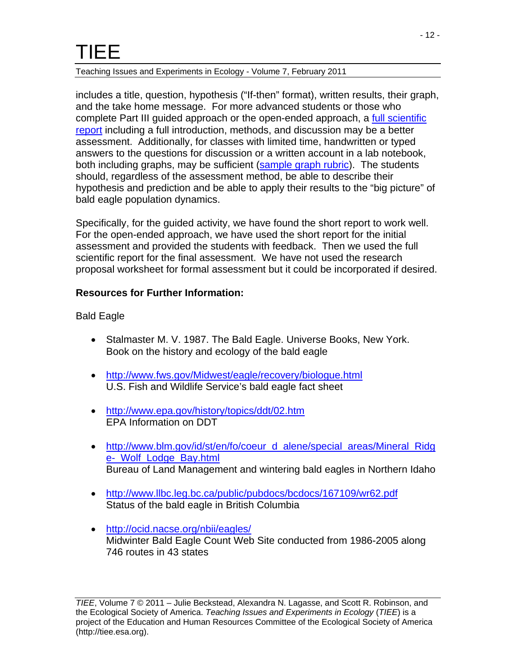#### Teaching Issues and Experiments in Ecology - Volume 7, February 2011

includes a title, question, hypothesis ("If-then" format), written results, their graph, and the take home message. For more advanced students or those who complete Part III guided approach or the open-ended approach, a [full scientific](http://tiee.esa.org/vol/v7/issues/data_sets/beckstead/resources/student_full_checklist.doc) [report](http://tiee.esa.org/vol/v7/issues/data_sets/beckstead/resources/student_full_checklist.doc) including a full introduction, methods, and discussion may be a better assessment. Additionally, for classes with limited time, handwritten or typed answers to the questions for discussion or a written account in a lab notebook, both including graphs, may be sufficient [\(sample graph rubric](http://tiee.esa.org/vol/v7/issues/data_sets/beckstead/resources/student_graph_rubric.doc)). The students should, regardless of the assessment method, be able to describe their hypothesis and prediction and be able to apply their results to the "big picture" of bald eagle population dynamics.

Specifically, for the guided activity, we have found the short report to work well. For the open-ended approach, we have used the short report for the initial assessment and provided the students with feedback. Then we used the full scientific report for the final assessment. We have not used the research proposal worksheet for formal assessment but it could be incorporated if desired.

#### **Resources for Further Information:**

Bald Eagle

- Stalmaster M. V. 1987. The Bald Eagle. Universe Books, New York. Book on the history and ecology of the bald eagle
- <http://www.fws.gov/Midwest/eagle/recovery/biologue.html> U.S. Fish and Wildlife Service's bald eagle fact sheet
- <http://www.epa.gov/history/topics/ddt/02.htm> EPA Information on DDT
- [http://www.blm.gov/id/st/en/fo/coeur\\_d\\_alene/special\\_areas/Mineral\\_Ridg](http://www.blm.gov/id/st/en/fo/coeur_d_alene/special_areas/Mineral_Ridge-_Wolf_Lodge_Bay.html) [e-\\_Wolf\\_Lodge\\_Bay.html](http://www.blm.gov/id/st/en/fo/coeur_d_alene/special_areas/Mineral_Ridge-_Wolf_Lodge_Bay.html) Bureau of Land Management and wintering bald eagles in Northern Idaho
- <http://www.llbc.leg.bc.ca/public/pubdocs/bcdocs/167109/wr62.pdf> Status of the bald eagle in British Columbia
- <http://ocid.nacse.org/nbii/eagles/> Midwinter Bald Eagle Count Web Site conducted from 1986-2005 along 746 routes in 43 states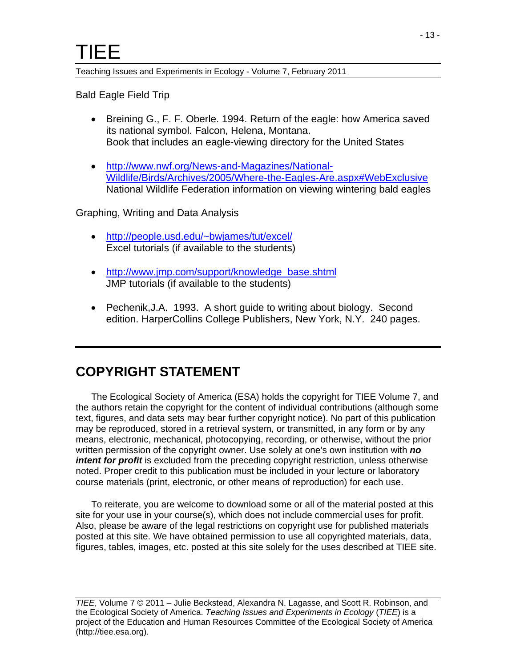Bald Eagle Field Trip

- Breining G., F. F. Oberle. 1994. Return of the eagle: how America saved its national symbol. Falcon, Helena, Montana. Book that includes an eagle-viewing directory for the United States
- [http://www.nwf.org/News-and-Magazines/National-](http://www.nwf.org/News-and-Magazines/National-Wildlife/Birds/Archives/2005/Where-the-Eagles-Are.aspx#WebExclusive)[Wildlife/Birds/Archives/2005/Where-the-Eagles-Are.aspx#WebExclusive](http://www.nwf.org/News-and-Magazines/National-Wildlife/Birds/Archives/2005/Where-the-Eagles-Are.aspx#WebExclusive) National Wildlife Federation information on viewing wintering bald eagles

Graphing, Writing and Data Analysis

- [http://people.usd.edu/~bwjames/tut/excel/](http://people.usd.edu/%7Ebwjames/tut/excel/) Excel tutorials (if available to the students)
- [http://www.jmp.com/support/knowledge\\_base.shtml](http://www.jmp.com/support/knowledge_base.shtml) JMP tutorials (if available to the students)
- Pechenik, J.A. 1993. A short guide to writing about biology. Second edition. HarperCollins College Publishers, New York, N.Y. 240 pages.

# **COPYRIGHT STATEMENT**

 The Ecological Society of America (ESA) holds the copyright for TIEE Volume 7, and the authors retain the copyright for the content of individual contributions (although some text, figures, and data sets may bear further copyright notice). No part of this publication may be reproduced, stored in a retrieval system, or transmitted, in any form or by any means, electronic, mechanical, photocopying, recording, or otherwise, without the prior written permission of the copyright owner. Use solely at one's own institution with *no intent for profit* is excluded from the preceding copyright restriction, unless otherwise noted. Proper credit to this publication must be included in your lecture or laboratory course materials (print, electronic, or other means of reproduction) for each use.

 To reiterate, you are welcome to download some or all of the material posted at this site for your use in your course(s), which does not include commercial uses for profit. Also, please be aware of the legal restrictions on copyright use for published materials posted at this site. We have obtained permission to use all copyrighted materials, data, figures, tables, images, etc. posted at this site solely for the uses described at TIEE site.